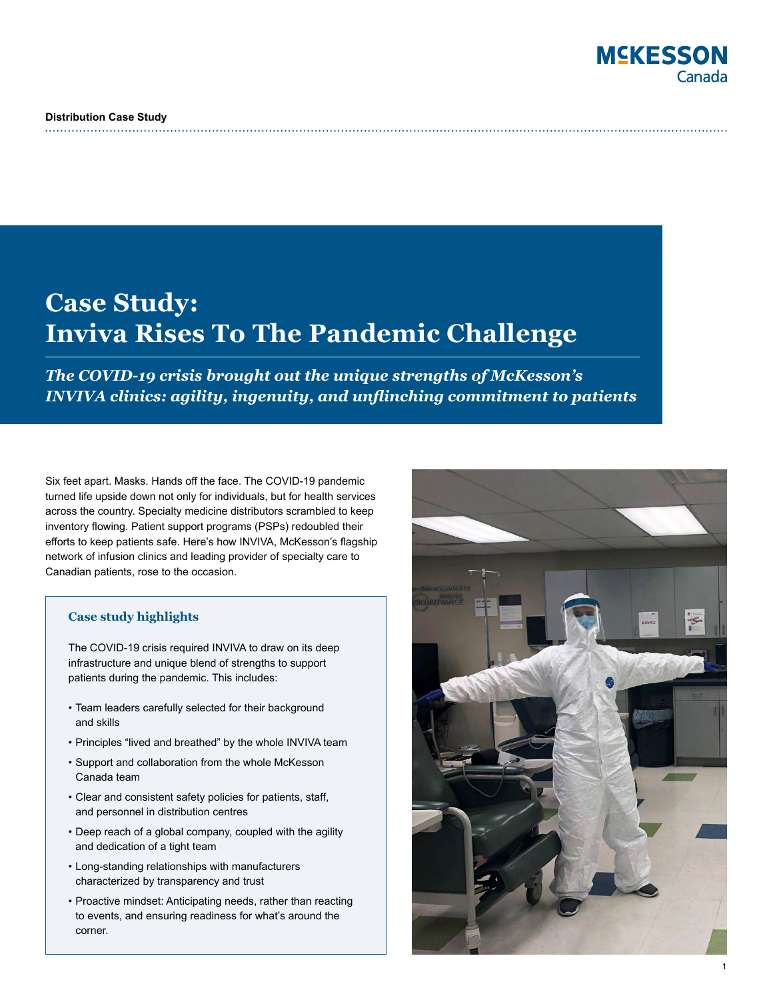# **MSKESSON** Canada

# **Case Study: Inviva Rises To The Pandemic Challenge**

*The COVID-19 crisis brought out the unique strengths of McKesson's INVIVA clinics: agility, ingenuity, and unflinching commitment to patients* 

Six feet apart. Masks. Hands off the face. The COVID-19 pandemic turned life upside down not only for individuals, but for health services across the country. Specialty medicine distributors scrambled to keep inventory flowing. Patient support programs (PSPs) redoubled their efforts to keep patients safe. Here's how INVIVA, McKesson's flagship network of infusion clinics and leading provider of specialty care to Canadian patients, rose to the occasion.

## **Case study highlights**

The COVID-19 crisis required INVIVA to draw on its deep infrastructure and unique blend of strengths to support patients during the pandemic. This includes:

- Team leaders carefully selected for their background and skills
- Principles "lived and breathed" by the whole INVIVA team
- Support and collaboration from the whole McKesson Canada team
- Clear and consistent safety policies for patients, staff, and personnel in distribution centres
- Deep reach of a global company, coupled with the agility and dedication of a tight team
- Long-standing relationships with manufacturers characterized by transparency and trust
- Proactive mindset: Anticipating needs, rather than reacting to events, and ensuring readiness for what's around the corner.

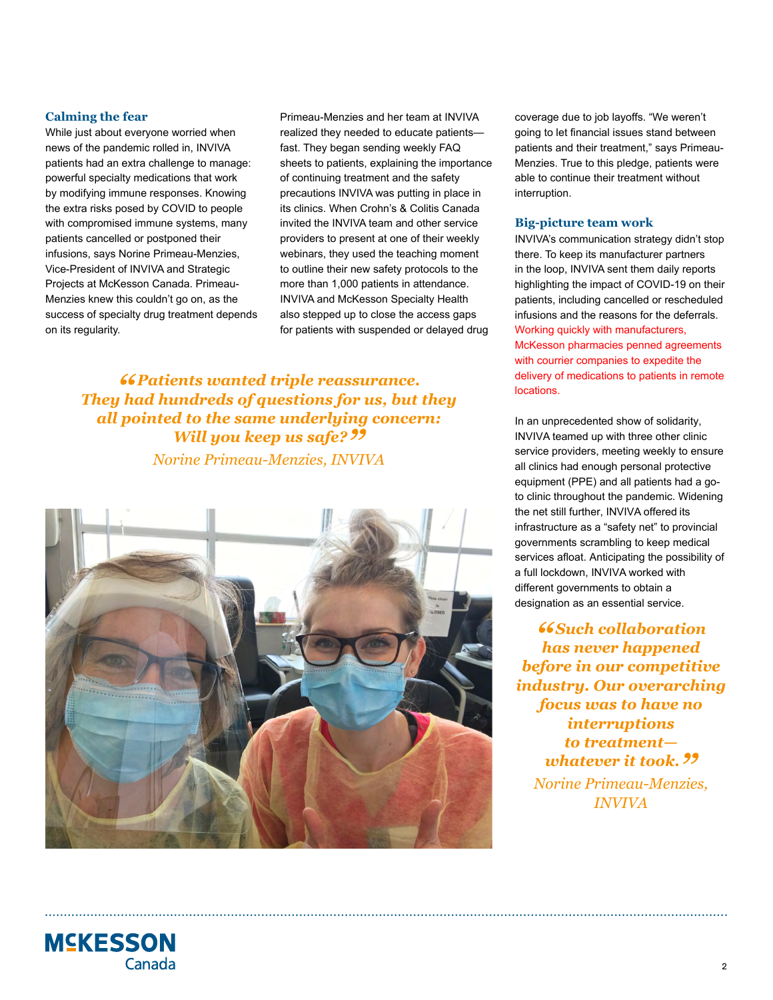#### **Calming the fear**

While just about everyone worried when news of the pandemic rolled in, INVIVA patients had an extra challenge to manage: powerful specialty medications that work by modifying immune responses. Knowing the extra risks posed by COVID to people with compromised immune systems, many patients cancelled or postponed their infusions, says Norine Primeau-Menzies, Vice-President of INVIVA and Strategic Projects at McKesson Canada. Primeau-Menzies knew this couldn't go on, as the success of specialty drug treatment depends on its regularity.

Primeau-Menzies and her team at INVIVA realized they needed to educate patients fast. They began sending weekly FAQ sheets to patients, explaining the importance of continuing treatment and the safety precautions INVIVA was putting in place in its clinics. When Crohn's & Colitis Canada invited the INVIVA team and other service providers to present at one of their weekly webinars, they used the teaching moment to outline their new safety protocols to the more than 1,000 patients in attendance. INVIVA and McKesson Specialty Health also stepped up to close the access gaps for patients with suspended or delayed drug

*" Patients wanted triple reassurance. They had hundreds of questions for us, but they all pointed to the same underlying concern: Will you keep us safe?* ??

*Norine Primeau-Menzies, INVIVA*



coverage due to job layoffs. "We weren't going to let financial issues stand between patients and their treatment," says Primeau-Menzies. True to this pledge, patients were able to continue their treatment without interruption.

#### **Big-picture team work**

INVIVA's communication strategy didn't stop there. To keep its manufacturer partners in the loop, INVIVA sent them daily reports highlighting the impact of COVID-19 on their patients, including cancelled or rescheduled infusions and the reasons for the deferrals. Working quickly with manufacturers, McKesson pharmacies penned agreements with courrier companies to expedite the delivery of medications to patients in remote locations.

In an unprecedented show of solidarity, INVIVA teamed up with three other clinic service providers, meeting weekly to ensure all clinics had enough personal protective equipment (PPE) and all patients had a goto clinic throughout the pandemic. Widening the net still further, INVIVA offered its infrastructure as a "safety net" to provincial governments scrambling to keep medical services afloat. Anticipating the possibility of a full lockdown, INVIVA worked with different governments to obtain a designation as an essential service.

*" Such collaboration has never happened before in our competitive industry. Our overarching focus was to have no interruptions to treatment whatever it took. ?? Norine Primeau-Menzies, INVIVA*

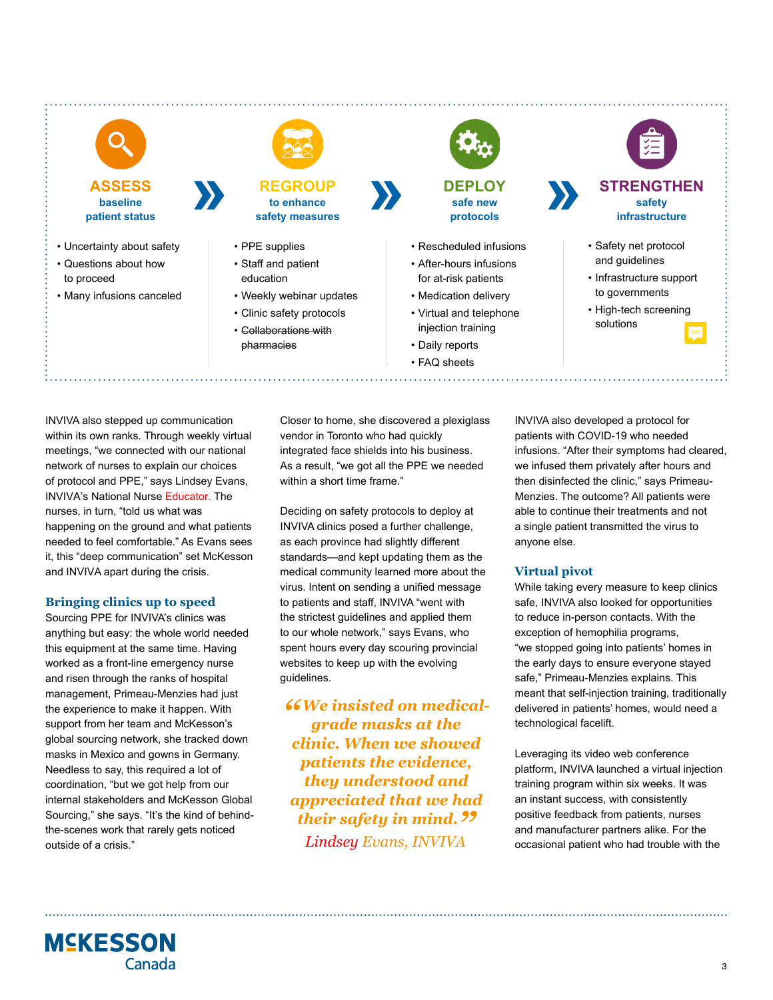

**baseline** 

- **patient status**  • Uncertainty about safety
- Questions about how to proceed
- Many infusions canceled



**REGROUP to enhance safety measures**

- PPE supplies
- Staff and patient education
- Weekly webinar updates
- Clinic safety protocols
- Collaborations with pharmacies



**DEPLOY safe new protocols** 

- Rescheduled infusions
- After-hours infusions for at-risk patients
- Medication delivery
- Virtual and telephone injection training
- Daily reports
- FAQ sheets



**infrastructure**

- Safety net protocol and guidelines
- Infrastructure support to governments
- High-tech screening solutions

INVIVA also stepped up communication within its own ranks. Through weekly virtual meetings, "we connected with our national network of nurses to explain our choices of protocol and PPE," says Lindsey Evans, INVIVA's National Nurse Educator. The nurses, in turn, "told us what was happening on the ground and what patients needed to feel comfortable." As Evans sees it, this "deep communication" set McKesson and INVIVA apart during the crisis.

# **Bringing clinics up to speed**

Sourcing PPE for INVIVA's clinics was anything but easy: the whole world needed this equipment at the same time. Having worked as a front-line emergency nurse and risen through the ranks of hospital management, Primeau-Menzies had just the experience to make it happen. With support from her team and McKesson's global sourcing network, she tracked down masks in Mexico and gowns in Germany. Needless to say, this required a lot of coordination, "but we got help from our internal stakeholders and McKesson Global Sourcing," she says. "It's the kind of behindthe-scenes work that rarely gets noticed outside of a crisis."

Closer to home, she discovered a plexiglass vendor in Toronto who had quickly integrated face shields into his business. As a result, "we got all the PPE we needed within a short time frame."

Deciding on safety protocols to deploy at INVIVA clinics posed a further challenge, as each province had slightly different standards—and kept updating them as the medical community learned more about the virus. Intent on sending a unified message to patients and staff, INVIVA "went with the strictest guidelines and applied them to our whole network," says Evans, who spent hours every day scouring provincial websites to keep up with the evolving guidelines.

*"We insisted on medicalgrade masks at the clinic. When we showed patients the evidence, they understood and appreciated that we had their safety in mind." Lindsey Evans, INVIVA*

INVIVA also developed a protocol for patients with COVID-19 who needed infusions. "After their symptoms had cleared, we infused them privately after hours and then disinfected the clinic," says Primeau-Menzies. The outcome? All patients were able to continue their treatments and not a single patient transmitted the virus to anyone else.

# **Virtual pivot**

While taking every measure to keep clinics safe, INVIVA also looked for opportunities to reduce in-person contacts. With the exception of hemophilia programs, "we stopped going into patients' homes in the early days to ensure everyone stayed safe," Primeau-Menzies explains. This meant that self-injection training, traditionally delivered in patients' homes, would need a technological facelift.

Leveraging its video web conference platform, INVIVA launched a virtual injection training program within six weeks. It was an instant success, with consistently positive feedback from patients, nurses and manufacturer partners alike. For the occasional patient who had trouble with the